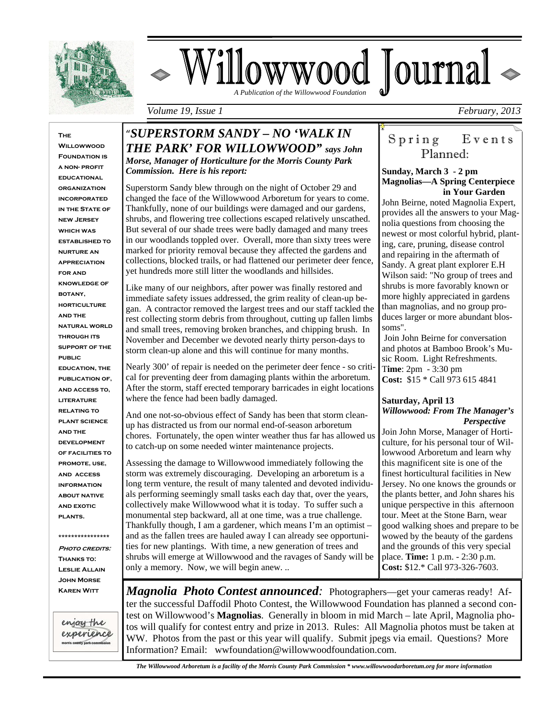

# Villowwood Journal  *A Publication of the Willowwood Foundation*

*Volume 19, Issue 1* February, 2013

**The Willowwood FOUNDATION IS a non- profit educational organization incorporated in the State of new Jersey which was established to nurture an appreciation for and knowledge of botany, horticulture and the natural world through its support of the public education, the publication of, and access to, literature relating to plant science and the development of facilities to promote, use, and access information about native and exotic plants.** 

**PHOTO CREDITS: Thanks to: Leslie Allain John Morse Karen Witt** 

**\*\*\*\*\*\*\*\*\*\*\*\*\*\*\*\*** 

enjoy the experience the country mark co

L

### "*SUPERSTORM SANDY – NO 'WALK IN THE PARK' FOR WILLOWWOOD" says John*

*Morse, Manager of Horticulture for the Morris County Park Commission. Here is his report:* 

Superstorm Sandy blew through on the night of October 29 and changed the face of the Willowwood Arboretum for years to come. Thankfully, none of our buildings were damaged and our gardens, shrubs, and flowering tree collections escaped relatively unscathed. But several of our shade trees were badly damaged and many trees in our woodlands toppled over. Overall, more than sixty trees were marked for priority removal because they affected the gardens and collections, blocked trails, or had flattened our perimeter deer fence, yet hundreds more still litter the woodlands and hillsides.

Like many of our neighbors, after power was finally restored and immediate safety issues addressed, the grim reality of clean-up began. A contractor removed the largest trees and our staff tackled the rest collecting storm debris from throughout, cutting up fallen limbs and small trees, removing broken branches, and chipping brush. In November and December we devoted nearly thirty person-days to storm clean-up alone and this will continue for many months.

Nearly 300' of repair is needed on the perimeter deer fence - so critical for preventing deer from damaging plants within the arboretum. After the storm, staff erected temporary barricades in eight locations where the fence had been badly damaged.

And one not-so-obvious effect of Sandy has been that storm cleanup has distracted us from our normal end-of-season arboretum chores. Fortunately, the open winter weather thus far has allowed us to catch-up on some needed winter maintenance projects.

Assessing the damage to Willowwood immediately following the storm was extremely discouraging. Developing an arboretum is a long term venture, the result of many talented and devoted individuals performing seemingly small tasks each day that, over the years, collectively make Willowwood what it is today. To suffer such a monumental step backward, all at one time, was a true challenge. Thankfully though, I am a gardener, which means I'm an optimist – and as the fallen trees are hauled away I can already see opportunities for new plantings. With time, a new generation of trees and shrubs will emerge at Willowwood and the ravages of Sandy will be only a memory. Now, we will begin anew. ..

### Spring Events Planned:

#### **Sunday, March 3 - 2 pm Magnolias—A Spring Centerpiece in Your Garden**

John Beirne, noted Magnolia Expert, provides all the answers to your Magnolia questions from choosing the newest or most colorful hybrid, planting, care, pruning, disease control and repairing in the aftermath of Sandy. A great plant explorer E.H Wilson said: "No group of trees and shrubs is more favorably known or more highly appreciated in gardens than magnolias, and no group produces larger or more abundant blossoms".

 Join John Beirne for conversation and photos at Bamboo Brook's Music Room. Light Refreshments. T**ime**: 2pm - 3:30 pm **Cost:** \$15 \* Call 973 615 4841

#### **Saturday, April 13** *Willowwood: From The Manager's Perspective*

Join John Morse, Manager of Horticulture, for his personal tour of Willowwood Arboretum and learn why this magnificent site is one of the finest horticultural facilities in New Jersey. No one knows the grounds or the plants better, and John shares his unique perspective in this afternoon tour. Meet at the Stone Barn, wear good walking shoes and prepare to be wowed by the beauty of the gardens and the grounds of this very special place. **Time:** 1 p.m. - 2:30 p.m. **Cost:** \$12.\* Call 973-326-7603.

*Magnolia Photo Contest announced:* Photographers—get your cameras ready! After the successful Daffodil Photo Contest, the Willowwood Foundation has planned a second contest on Willowwood's **Magnolias**. Generally in bloom in mid March – late April, Magnolia photos will qualify for contest entry and prize in 2013. Rules: All Magnolia photos must be taken at WW. Photos from the past or this year will qualify. Submit jpegs via email. Questions? More Information? Email: wwfoundation@willowwoodfoundation.com.

 *The Willowwood Arboretum is a facility of the Morris County Park Commission \* www.willowwoodarboretum.org for more information*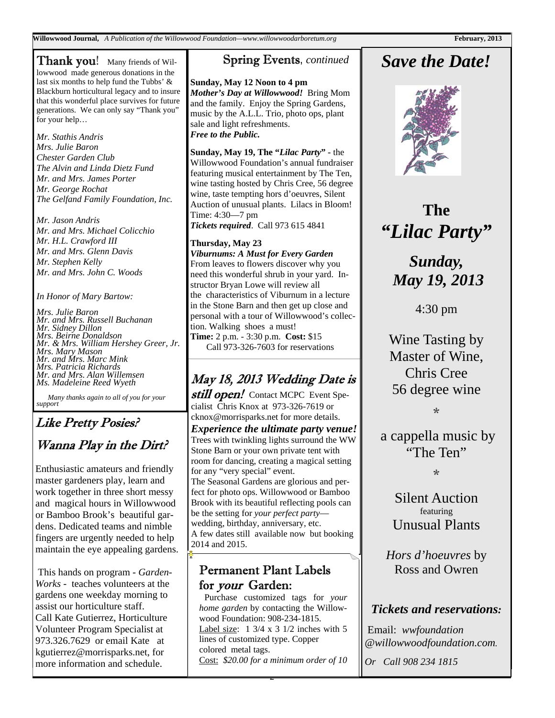**Willowwood Journal,** *A Publication of the Willowwood Foundation—www.willowwoodarboretum.org* **February, 2013** 

**Thank you!** Many friends of Willowwood made generous donations in the last six months to help fund the Tubbs' & Blackburn horticultural legacy and to insure that this wonderful place survives for future generations. We can only say "Thank you" for your help…

*Mr. Stathis Andris Mrs. Julie Baron Chester Garden Club The Alvin and Linda Dietz Fund Mr. and Mrs. James Porter Mr. George Rochat The Gelfand Family Foundation, Inc.* 

*Mr. Jason Andris Mr. and Mrs. Michael Colicchio Mr. H.L. Crawford III Mr. and Mrs. Glenn Davis Mr. Stephen Kelly Mr. and Mrs. John C. Woods* 

*In Honor of Mary Bartow:* 

*Mrs. Julie Baron Mr. and Mrs. Russell Buchanan Mr. Sidney Dillon Mrs. Beirne Donaldson Mr. & Mrs. William Hershey Greer, Jr. Mrs. Mary Mason Mr. and Mrs. Marc Mink Mrs. Patricia Richards Mr. and Mrs. Alan Willemsen Ms. Madeleine Reed Wyeth* 

 *Many thanks again to all of you for your support*

### Like Pretty Posies? Wanna Play in the Dirt?

Enthusiastic amateurs and friendly master gardeners play, learn and work together in three short messy and magical hours in Willowwood or Bamboo Brook's beautiful gardens. Dedicated teams and nimble fingers are urgently needed to help maintain the eye appealing gardens.

 This hands on program - *Garden-Works -* teaches volunteers at the gardens one weekday morning to assist our horticulture staff. Call Kate Gutierrez, Horticulture Volunteer Program Specialist at 973.326.7629 or email Kate at kgutierrez@morrisparks.net, for more information and schedule.

### Spring Events, *continued*

**Sunday, May 12 Noon to 4 pm**  *Mother's Day at Willowwood!* Bring Mom and the family. Enjoy the Spring Gardens, music by the A.L.L. Trio, photo ops, plant sale and light refreshments. *Free to the Public.* 

**Sunday, May 19, The "***Lilac Party***" -** the Willowwood Foundation's annual fundraiser featuring musical entertainment by The Ten, wine tasting hosted by Chris Cree, 56 degree wine, taste tempting hors d'oeuvres, Silent Auction of unusual plants. Lilacs in Bloom! Time: 4:30—7 pm

*Tickets required*. Call 973 615 4841

#### **Thursday, May 23**

*Viburnums: A Must for Every Garden* From leaves to flowers discover why you need this wonderful shrub in your yard. Instructor Bryan Lowe will review all the characteristics of Viburnum in a lecture in the Stone Barn and then get up close and personal with a tour of Willowwood's collection. Walking shoes a must! **Time:** 2 p.m. - 3:30 p.m. **Cost:** \$15 Call 973-326-7603 for reservations

## May 18, 2013 Wedding Date is

still open! Contact MCPC Event Specialist Chris Knox at 973-326-7619 or cknox@morrisparks.net for more details. *Experience the ultimate party venue!*  Trees with twinkling lights surround the WW Stone Barn or your own private tent with room for dancing, creating a magical setting for any "very special" event. The Seasonal Gardens are glorious and perfect for photo ops. Willowwood or Bamboo Brook with its beautiful reflecting pools can be the setting for *your perfect party* wedding, birthday, anniversary, etc. A few dates still available now but booking 2014 and 2015.

### Permanent Plant Labels for your Garden:

Purchase customized tags for *your home garden* by contacting the Willowwood Foundation: 908-234-1815. Label size:  $1 \frac{3}{4} \times 3 \frac{1}{2}$  inches with 5 lines of customized type. Copper colored metal tags. Cost: *\$20.00 for a minimum order of 10* 

2

## *Save the Date!*



## **The**  *"Lilac Party"*

*Sunday, May 19, 2013* 

4:30 pm

Wine Tasting by Master of Wine, Chris Cree 56 degree wine

\*

a cappella music by "The Ten"

 $\mathcal{L}$ 

Silent Auction featuring Unusual Plants

*Hors d'hoeuvres* by Ross and Owren

#### *Tickets and reservations:*

 Email: *wwfoundation @willowwoodfoundation.com.* 

*Or Call 908 234 1815*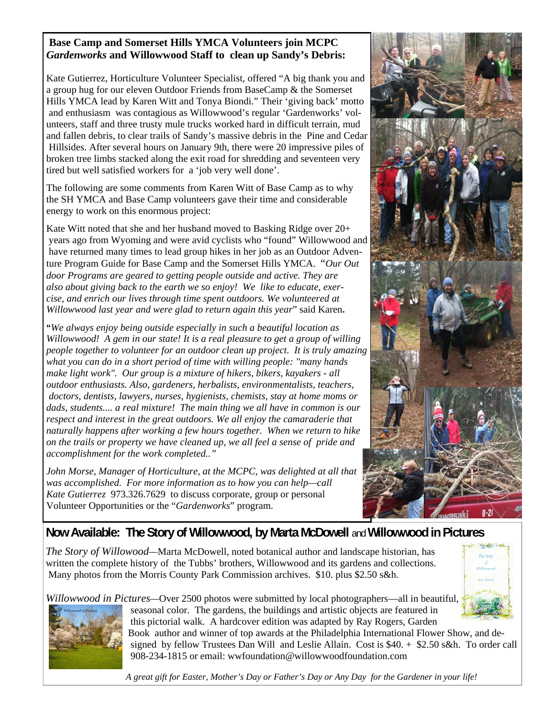#### **Base Camp and Somerset Hills YMCA Volunteers join MCPC**  *Gardenworks* **and Willowwood Staff to clean up Sandy's Debris:**

Kate Gutierrez, Horticulture Volunteer Specialist, offered "A big thank you and a group hug for our eleven Outdoor Friends from BaseCamp & the Somerset Hills YMCA lead by Karen Witt and Tonya Biondi." Their 'giving back' motto and enthusiasm was contagious as Willowwood's regular 'Gardenworks' volunteers, staff and three trusty mule trucks worked hard in difficult terrain, mud and fallen debris, to clear trails of Sandy's massive debris in the Pine and Cedar Hillsides. After several hours on January 9th, there were 20 impressive piles of broken tree limbs stacked along the exit road for shredding and seventeen very tired but well satisfied workers for a 'job very well done'.

The following are some comments from Karen Witt of Base Camp as to why the SH YMCA and Base Camp volunteers gave their time and considerable energy to work on this enormous project:

Kate Witt noted that she and her husband moved to Basking Ridge over 20+ years ago from Wyoming and were avid cyclists who "found" Willowwood and have returned many times to lead group hikes in her job as an Outdoor Adventure Program Guide for Base Camp and the Somerset Hills YMCA. "*Our Out door Programs are geared to getting people outside and active. They are also about giving back to the earth we so enjoy! We like to educate, exercise, and enrich our lives through time spent outdoors. We volunteered at Willowwood last year and were glad to return again this year*" said Karen**.**

**"***We always enjoy being outside especially in such a beautiful location as Willowwood! A gem in our state! It is a real pleasure to get a group of willing people together to volunteer for an outdoor clean up project. It is truly amazing what you can do in a short period of time with willing people: "many hands make light work". Our group is a mixture of hikers, bikers, kayakers - all outdoor enthusiasts. Also, gardeners, herbalists, environmentalists, teachers, doctors, dentists, lawyers, nurses, hygienists, chemists, stay at home moms or*  dads, students.... a real mixture! The main thing we all have in common is our *respect and interest in the great outdoors. We all enjoy the camaraderie that naturally happens after working a few hours together. When we return to hike on the trails or property we have cleaned up, we all feel a sense of pride and accomplishment for the work completed.."* 

*John Morse, Manager of Horticulture, at the MCPC, was delighted at all that was accomplished. For more information as to how you can help—call Kate Gutierrez* 973.326.7629 to discuss corporate, group or personal Volunteer Opportunities or the "*Gardenworks*" program.



### **Now Available: The Story of Willowwood, by Marta McDowell** and **Willowwood in Pictures**

*The Story of Willowood—*Marta McDowell, noted botanical author and landscape historian, has written the complete history of the Tubbs' brothers, Willowwood and its gardens and collections. Many photos from the Morris County Park Commission archives. \$10. plus \$2.50 s&h.

*Willowwood in Pictures—*Over 2500 photos were submitted by local photographers—all in beautiful, seasonal color. The gardens, the buildings and artistic objects are featured in



 this pictorial walk. A hardcover edition was adapted by Ray Rogers, Garden Book author and winner of top awards at the Philadelphia International Flower Show, and de signed by fellow Trustees Dan Will and Leslie Allain. Cost is \$40. + \$2.50 s&h. To order call 908-234-1815 or email: wwfoundation@willowwoodfoundation.com

 *A great gift for Easter, Mother's Day or Father's Day or Any Day for the Gardener in your life!*